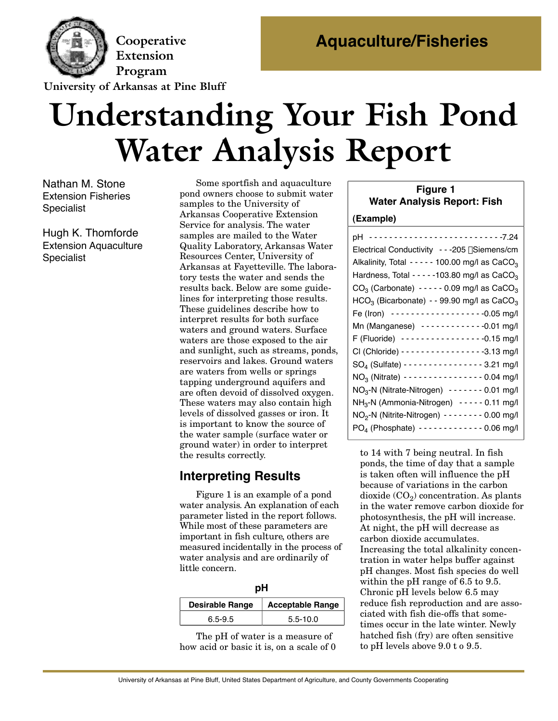

**Extension Program** 

**University of Arkansas at Pine Bluff** 

# **Understanding Your Fish Pond Water Analysis Report**

Nathan M. Stone Extension Fisheries **Specialist** 

Hugh K. Thomforde Extension Aquaculture **Specialist** 

Some sportfish and aquaculture<br>pond owners choose to submit water samples to the University of Arkansas Cooperative Extension Service for analysis. The water samples are mailed to the Water Quality Laboratory, Arkansas Water Resources Center, University of Arkansas at Fayetteville. The laboratory tests the water and sends the results back. Below are some guidelines for interpreting those results. These guidelines describe how to interpret results for both surface waters and ground waters. Surface waters are those exposed to the air and sunlight, such as streams, ponds, reservoirs and lakes. Ground waters are waters from wells or springs. tapping underground aquifers and are often devoid of dissolved oxygen. These waters may also contain high. levels of dissolved gasses or iron. It is important to know the source of the water sample (surface water or ground water) in order to interpret ground water) in order to interpret<br>the recults correctly the results correctly.

# **Interpreting Results**

Figure 1 is an example of a pond<br>water analysis. An explanation of each parameter listed in the report follows. While most of these parameters are important in fish culture, others are measured incidentally in the process of water analysis and are ordinarily of little concern. little concern.

| <b>Desirable Range</b> | <b>Acceptable Range</b> |
|------------------------|-------------------------|
| $6.5 - 9.5$            | $5.5 - 10.0$            |

The pH of water is a measure of how acid or basic it is, on a scale of 0

#### **Figure 1 Water Analysis Report: Fish**

#### **(Example)**

| pH ---------------------------7.24                                 |
|--------------------------------------------------------------------|
| Electrical Conductivity - - - 205 µ Siemens/cm                     |
| Alkalinity, Total - - - - - 100.00 mg/l as $CaCO3$                 |
| Hardness, Total - - - - - 103.80 mg/l as CaCO <sub>3</sub>         |
| $CO3$ (Carbonate) - - - - - 0.09 mg/l as CaCO <sub>3</sub>         |
| HCO <sub>3</sub> (Bicarbonate) - - 99.90 mg/l as CaCO <sub>3</sub> |
| Fe (Iron) -------------------0.05 mg/l                             |
| Mn (Manganese) ------------0.01 mg/l                               |
| F (Fluoride) ----------------0.15 mg/l                             |
| CI (Chloride) - - - - - - - - - - - - - - - - - - 3.13 mg/l        |
| SO <sub>4</sub> (Sulfate) - - - - - - - - - - - - - - - 3.21 mg/l  |
|                                                                    |
| NO <sub>3</sub> -N (Nitrate-Nitrogen) ------- 0.01 mg/l            |
| NH <sub>3</sub> -N (Ammonia-Nitrogen) ----- 0.11 mg/l              |
| NO <sub>2</sub> -N (Nitrite-Nitrogen) - - - - - - - - 0.00 mg/l    |
| $PO_4$ (Phosphate) - - - - - - - - - - - - 0.06 mg/l               |

to 14 with 7 being neutral. In fish is taken often will influence the pH because of variations in the carbon dioxide  $(CO_2)$  concentration. As plants in the water remove carbon dioxide for photosynthesis, the pH will increase. At night, the pH will decrease as carbon dioxide accumulates. Increasing the total alkalinity concentration in water helps buffer against pH changes. Most fish species do well within the pH range of  $6.5$  to  $9.5$ . Chronic pH levels below  $6.5$  may reduce fish reproduction and are associated with fish die-offs that sometimes occur in the late winter. Newly hatched fish (fry) are often sensitive  $\frac{\text{hagenta}}{\text{the}}$  hatched  $\frac{\text{harrow}}{\text{the}}$  ( $\frac{\text{harrow}}{\text{the}}$ ) are often sensitive  $\frac{1}{2}$  is ph levels above 9.0 to 9.00.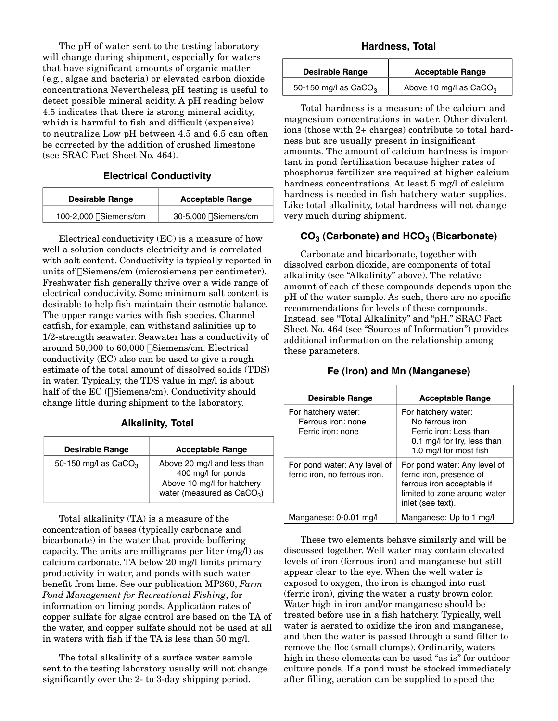The pH of water sent to the testing laboratory<br>will change during shipment, especially for waters that have significant amounts of organic matter  $(e.g., algebra and bacteria)$  or elevated carbon dioxide concentrations. Nevertheless, pH testing is useful to detect possible mineral acidity. A pH reading below 4.5 indicates that there is strong mineral acidity. which is harmful to fish and difficult (expensive) to neutralize Low pH between  $4.5$  and  $6.5$  can often be corrected by the addition of crushed limestone be corrected by the addition of crushed limestone  $(500 \text{ MHz} \cdot 100 \text{ s})$  .  $101$ ;

#### **Electrical Conductivity**

| <b>Desirable Range</b>     | <b>Acceptable Range</b>   |
|----------------------------|---------------------------|
| 100-2,000 $\mu$ Siemens/cm | $30-5,000 \mu$ Siemens/cm |

Electrical conductivity (EC) is a measure of how with salt content. Conductivity is typically reported in with salt content. Conductivity is typically reported in  $\frac{1}{2}$  units of  $\mu$ Siemens/cm (microsiemens per centimeter). Freshwater fish generally thrive over a wide range of desirable to help fish maintain their osmotic balance. The upper range varies with fish species. Channel catfish, for example, can with stand salinities up to 1/2-strength seawater. Seawater has a conductivity of  $12$ -strength seawater. Seawater has a conductivity of  $27$ -strength seawater. Seawater has a conductivity of  $60,000$   $\mu$ Siemens/cm. Electrical conductivity (EC) also can be used to give a rough in water. Typically, the TDS value in mg/l is about m water. Typicary, the TDS value in mg/l is asset<br>half of the EC (µSiemens/cm). Conductivity should<br>change little during shipment to the laboratory. change little during shipment to the laboratory.

|  |  | <b>Alkalinity, Total</b> |
|--|--|--------------------------|
|--|--|--------------------------|

| <b>Desirable Range</b> | <b>Acceptable Range</b>                                                                                         |
|------------------------|-----------------------------------------------------------------------------------------------------------------|
| 50-150 mg/l as $CaCO3$ | Above 20 mg/l and less than<br>400 mg/l for ponds<br>Above 10 mg/l for hatchery<br>water (measured as $CaCO3$ ) |

Total alkalinity (TA) is a measure of the<br>concentration of bases (typically carbonate and bicarbonate) in the water that provide buffering capacity. The units are milligrams per liter  $(mg/l)$  as calcium carbonate. TA below 20 mg/l limits primary productivity in water, and ponds with such water productivity in water, and ponds with such water benefit from lime. See our publication MP360, *Farm Pond Management for Recreational Fishing*, for copper sulfate for algae control are based on the TA of the water, and copper sulfate should not be used at all the water, and copper sulfate should not be used at all  $\overline{a}$  waters with fish if the TA is less than 50 mg/l.

The total alkalinity of a surface water sample<br>sent to the testing laboratory usually will not change sent to the testing laboratory as ally will not change significantly over the 2- to 3-day shipping period.

**Hardness, Total** 

| <b>Desirable Range</b> | <b>Acceptable Range</b>  |
|------------------------|--------------------------|
| 50-150 mg/l as $CaCO3$ | Above 10 mg/l as $CaCO3$ |

Total hardness is a measure of the calcium and ions (those with  $2+$  charges) contribute to total hardness but are usually present in insignificant amounts. The amount of calcium hardness is important in pond fertilization because higher rates of phosphorus fertilizer are required at higher calcium hardness concentrations. At least 5 mg/l of calcium hardness is needed in fish hatchery water supplies. Like total alkalinity, total hardness will not change Like total alikalinity, total hardness will not change very much during shipment.

#### CO<sub>3</sub> (Carbonate) and HCO<sub>3</sub> (Bicarbonate)

Carbonate and bicarbonate, together with<br>dissolved carbon dioxide, are components of total alkalinity (see "Alkalinity" above). The relative amount of each of these compounds depends upon the pH of the water sample. As such, there are no specific recommendations for levels of these compounds. Instead, see "Total Alkalinity" and "pH." SRAC Fact Sheet No. 464 (see "Sources of Information") provides Sheet No. 161 (see "Sources of Information") provides additional information on the relationship among these parameters.

#### **Fe (Iron) and Mn (Manganese)**

| <b>Desirable Range</b>                                         | <b>Acceptable Range</b>                                                                                                                     |
|----------------------------------------------------------------|---------------------------------------------------------------------------------------------------------------------------------------------|
| For hatchery water:<br>Ferrous iron: none<br>Ferric iron: none | For hatchery water:<br>No ferrous iron<br>Ferric iron: Less than<br>0.1 mg/l for fry, less than<br>1.0 mg/l for most fish                   |
| For pond water: Any level of<br>ferric iron, no ferrous iron.  | For pond water: Any level of<br>ferric iron, presence of<br>ferrous iron acceptable if<br>limited to zone around water<br>inlet (see text). |
| Manganese: 0-0.01 mg/l                                         | Manganese: Up to 1 mg/l                                                                                                                     |

These two elements behave similarly and will be discussed together. Well water may contain elevated levels of iron (ferrous iron) and manganese but still appear clear to the eye. When the well water is exposed to oxygen, the iron is changed into rust (ferric iron), giving the water a rusty brown color. Water high in iron and/or manganese should be. treated before use in a fish hatchery. Typically, well water is aerated to oxidize the iron and manganese, and then the water is passed through a sand filter to remove the floc (small clumps). Ordinarily, waters high in these elements can be used "as is" for outdoor culture ponds. If a pond must be stocked immediately calcule ponds. If a point must be stocked immediately after filling, aeration can be supplied to speed the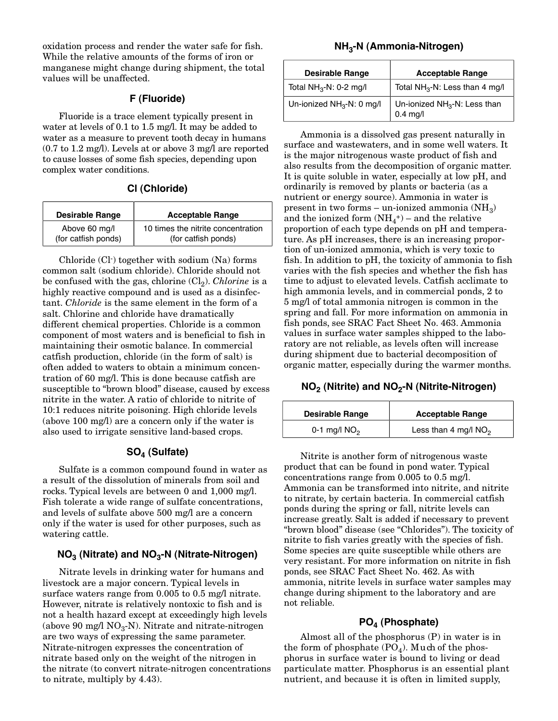oxidation process and render the water safe for fish. manganese might change during shipment, the total manganese might change during shipment, the total values will be analiseed.

#### **F (Fluoride)**

Fluoride is a trace element typically present in water at levels of 0.1 to 1.5 mg/l. It may be added to water as a measure to prevent tooth decay in humans  $(0.7 \text{ to } 1.2 \text{ mg/l})$ . Levels at or above 3 mg/l are reported to cause losses of some fish species, depending upon to cause losses of some fish species, depending upon complex water conditions.

#### **Cl (Chloride)**

| <b>Desirable Range</b> | <b>Acceptable Range</b>            |
|------------------------|------------------------------------|
| Above 60 mg/l          | 10 times the nitrite concentration |
| (for catfish ponds)    | (for catfish ponds)                |

Chloride (Cl<sup>-</sup>) together with sodium (Na) forms<br>common salt (sodium chloride). Chloride should not be confused with the gas, chlorine (Cl<sub>2</sub>). *Chlorine* is a highly reactive compound and is used as a disinfechighly reactive compound and is used as a disinfec-tant. *Chloride* is the same element in the form of a salt. Chlorine and chloride have dramatically<br>different chemical properties. Chloride is a common component of most waters and is beneficial to fish in maintaining their osmotic balance. In commercial catfish production, chloride (in the form of salt) is often added to waters to obtain a minimum concentration of 60 mg/l. This is done because catfish are susceptible to "brown blood" disease, caused by excess nitrite in the water. A ratio of chloride to nitrite of 10:1 reduces nitrite poisoning. High chloride levels (above  $100 \text{ mg/l}$ ) are a concern only if the water is (above 100 mg/l) are a concern only if the water is also used to irrigate sensitive land-based crops.

#### **SO4 (Sulfate)**

Sulfate is a common compound found in water as rocks. Typical levels are between 0 and 1,000 mg/l. Fish tolerate a wide range of sulfate concentrations. and levels of sulfate above 500 mg/l are a concern only if the water is used for other purposes, such as only if the water is asea for other purposes, such as watering cattle.

#### **NO3 (Nitrate) and NO3-N (Nitrate-Nitrogen)**

Nitrate levels in drinking water for humans and<br>livestock are a major concern. Typical levels in surface waters range from  $0.005$  to  $0.5$  mg/l nitrate. However, nitrate is relatively nontoxic to fish and is not a health hazard except at exceedingly high levels (above 90 mg/l  $NO<sub>3</sub>-N$ ). Nitrate and nitrate-nitrogen are two ways of expressing the same parameter. Nitrate-nitrogen expresses the concentration of nitrate based only on the weight of the nitrogen in the nitrate (to convert nitrate-nitrogen concentrations the intrate (to convert intrate-introgen concentrations)  $\sum_{i=1}^{n}$ 

#### **NH3-N (Ammonia-Nitrogen)**

| <b>Desirable Range</b>                | <b>Acceptable Range</b>                                |
|---------------------------------------|--------------------------------------------------------|
| Total $NH3-N$ : 0-2 mg/l              | Total $NH3$ -N: Less than 4 mg/l                       |
| Un-ionized NH <sub>3</sub> -N: 0 mg/l | Un-ionized NH <sub>3</sub> -N: Less than<br>$0.4$ mg/l |

Ammonia is a dissolved gas present naturally in is the major nitrogenous waste product of fish and also results from the decomposition of organic matter. It is quite soluble in water, especially at low pH, and ordinarily is removed by plants or bacteria (as a nutrient or energy source). Ammonia in water is present in two forms – un-ionized ammonia  $(NH_3)$ and the ionized form  $(NH_4^+)$  – and the relative and the ionized form  $(NH_4)$  – and the relative<br>proportion of each type depends on pH and tem ture. As pH increases, there is an increasing proportion of un-ionized ammonia, which is very toxic to fish. In addition to pH, the toxicity of ammonia to fish varies with the fish species and whether the fish has time to adjust to elevated levels. Catfish acclimate to high ammonia levels, and in commercial ponds, 2 to 5 mg/l of total ammonia nitrogen is common in the spring and fall. For more information on ammonia in fish ponds, see SRAC Fact Sheet No. 463. Ammonia values in surface water samples shipped to the laboratory are not reliable, as levels often will increase during shipment due to bacterial decomposition of during shipment due to bacterial decomposition of organic matter, especially during the warmer months.

#### **NO2 (Nitrite) and NO2-N (Nitrite-Nitrogen)**

| <b>Desirable Range</b> | <b>Acceptable Range</b> |
|------------------------|-------------------------|
| 0-1 mg/l $NO2$         | Less than 4 mg/l $NO2$  |

Nitrite is another form of nitrogenous waste<br>product that can be found in pond water. Typical concentrations range from  $0.005$  to  $0.5$  mg/l. Ammonia can be transformed into nitrite, and nitrite to nitrate, by certain bacteria. In commercial catfish ponds during the spring or fall, nitrite levels can increase greatly. Salt is added if necessary to prevent "brown blood" disease (see "Chlorides"). The toxicity of nitrite to fish varies greatly with the species of fish. Some species are quite susceptible while others are very resistant. For more information on nitrite in fish ponds, see SRAC Fact Sheet No. 462. As with ammonia, nitrite levels in surface water samples may ammonia, indree levels in surface water samples may change during shipment to the laboratory and are not reliable.

### **PO4 (Phosphate)**

Almost all of the phosphorus (P) in water is in<br>the form of phosphate  $(PO<sub>4</sub>)$ . Much of the phosphorus in surface water is bound to living or dead particulate matter. Phosphorus is an essential plant particulate matter. Phosphorus is an essential plant natively, and secause it is often in limited supply,